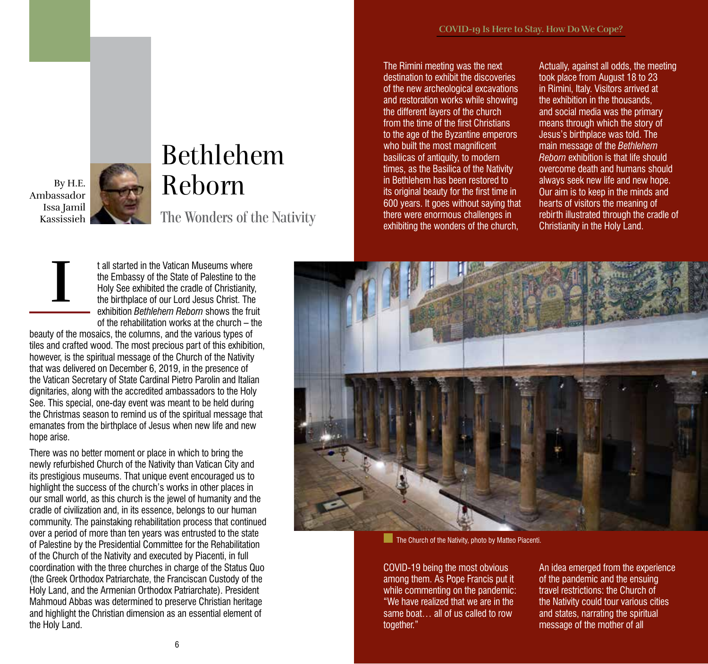By H.E. Ambassador Issa Jamil Kassissieh

**I**

## Bethlehem Reborn The Wonders of the Nativity

t all started in the Vatican Museums where the Embassy of the State of Palestine to the Holy See exhibited the cradle of Christianity, the birthplace of our Lord Jesus Christ. The exhibition *Bethlehem Reborn* shows the fruit of the rehabilitation works at the church – the

beauty of the mosaics, the columns, and the various types of tiles and crafted wood. The most precious part of this exhibition, however, is the spiritual message of the Church of the Nativity that was delivered on December 6, 2019, in the presence of the Vatican Secretary of State Cardinal Pietro Parolin and Italian dignitaries, along with the accredited ambassadors to the Holy See. This special, one-day event was meant to be held during the Christmas season to remind us of the spiritual message that emanates from the birthplace of Jesus when new life and new hope arise.

There was no better moment or place in which to bring the newly refurbished Church of the Nativity than Vatican City and its prestigious museums. That unique event encouraged us to highlight the success of the church's works in other places in our small world, as this church is the jewel of humanity and the cradle of civilization and, in its essence, belongs to our human community. The painstaking rehabilitation process that continued over a period of more than ten years was entrusted to the state of Palestine by the Presidential Committee for the Rehabilitation of the Church of the Nativity and executed by Piacenti, in full coordination with the three churches in charge of the Status Quo (the Greek Orthodox Patriarchate, the Franciscan Custody of the Holy Land, and the Armenian Orthodox Patriarchate). President Mahmoud Abbas was determined to preserve Christian heritage and highlight the Christian dimension as an essential element of the Holy Land.

The Rimini meeting was the next destination to exhibit the discoveries of the new archeological excavations and restoration works while showing the different layers of the church from the time of the first Christians to the age of the Byzantine emperors who built the most magnificent basilicas of antiquity, to modern times, as the Basilica of the Nativity in Bethlehem has been restored to its original beauty for the first time in 600 years. It goes without saying that there were enormous challenges in exhibiting the wonders of the church,

Actually, against all odds, the meeting took place from August 18 to 23 in Rimini, Italy. Visitors arrived at the exhibition in the thousands, and social media was the primary means through which the story of Jesus's birthplace was told. The main message of the *Bethlehem Reborn* exhibition is that life should overcome death and humans should always seek new life and new hope. Our aim is to keep in the minds and hearts of visitors the meaning of rebirth illustrated through the cradle of Christianity in the Holy Land.



The Church of the Nativity, photo by Matteo Piacenti.

COVID-19 being the most obvious among them. As Pope Francis put it while commenting on the pandemic: "We have realized that we are in the same boat… all of us called to row together."

An idea emerged from the experience of the pandemic and the ensuing travel restrictions: the Church of the Nativity could tour various cities and states, narrating the spiritual message of the mother of all